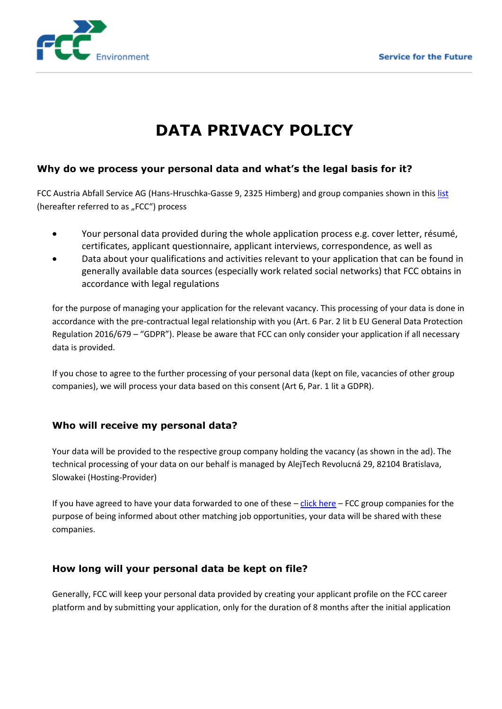

# **DATA PRIVACY POLICY**

## **Why do we process your personal data and what's the legal basis for it?**

FCC Austria Abfall Service AG (Hans-Hruschka-Gasse 9, 2325 Himberg) and group companies shown in this [list](http://www.fcc-group.eu/en/Austria/Locations.html) (hereafter referred to as "FCC") process

- Your personal data provided during the whole application process e.g. cover letter, résumé, certificates, applicant questionnaire, applicant interviews, correspondence, as well as
- Data about your qualifications and activities relevant to your application that can be found in generally available data sources (especially work related social networks) that FCC obtains in accordance with legal regulations

for the purpose of managing your application for the relevant vacancy. This processing of your data is done in accordance with the pre-contractual legal relationship with you (Art. 6 Par. 2 lit b EU General Data Protection Regulation 2016/679 – "GDPR"). Please be aware that FCC can only consider your application if all necessary data is provided.

If you chose to agree to the further processing of your personal data (kept on file, vacancies of other group companies), we will process your data based on this consent (Art 6, Par. 1 lit a GDPR).

## **Who will receive my personal data?**

Your data will be provided to the respective group company holding the vacancy (as shown in the ad). The technical processing of your data on our behalf is managed by AlejTech Revolucná 29, 82104 Bratislava, Slowakei (Hosting-Provider)

If you have agreed to have your data forwarded to one of these – [click here](http://www.fcc-group.eu/en/Austria/Locations.html) – FCC group companies for the purpose of being informed about other matching job opportunities, your data will be shared with these companies.

## **How long will your personal data be kept on file?**

Generally, FCC will keep your personal data provided by creating your applicant profile on the FCC career platform and by submitting your application, only for the duration of 8 months after the initial application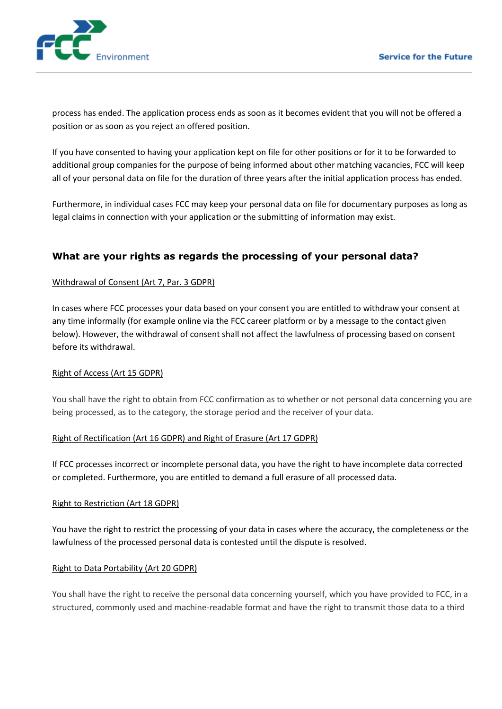

process has ended. The application process ends as soon as it becomes evident that you will not be offered a position or as soon as you reject an offered position.

If you have consented to having your application kept on file for other positions or for it to be forwarded to additional group companies for the purpose of being informed about other matching vacancies, FCC will keep all of your personal data on file for the duration of three years after the initial application process has ended.

Furthermore, in individual cases FCC may keep your personal data on file for documentary purposes as long as legal claims in connection with your application or the submitting of information may exist.

## **What are your rights as regards the processing of your personal data?**

#### Withdrawal of Consent (Art 7, Par. 3 GDPR)

In cases where FCC processes your data based on your consent you are entitled to withdraw your consent at any time informally (for example online via the FCC career platform or by a message to the contact given below). However, the withdrawal of consent shall not affect the lawfulness of processing based on consent before its withdrawal.

#### Right of Access (Art 15 GDPR)

You shall have the right to obtain from FCC confirmation as to whether or not personal data concerning you are being processed, as to the category, the storage period and the receiver of your data.

#### Right of Rectification (Art 16 GDPR) and Right of Erasure (Art 17 GDPR)

If FCC processes incorrect or incomplete personal data, you have the right to have incomplete data corrected or completed. Furthermore, you are entitled to demand a full erasure of all processed data.

#### Right to Restriction (Art 18 GDPR)

You have the right to restrict the processing of your data in cases where the accuracy, the completeness or the lawfulness of the processed personal data is contested until the dispute is resolved.

#### Right to Data Portability (Art 20 GDPR)

You shall have the right to receive the personal data concerning yourself, which you have provided to FCC, in a structured, commonly used and machine-readable format and have the right to transmit those data to a third